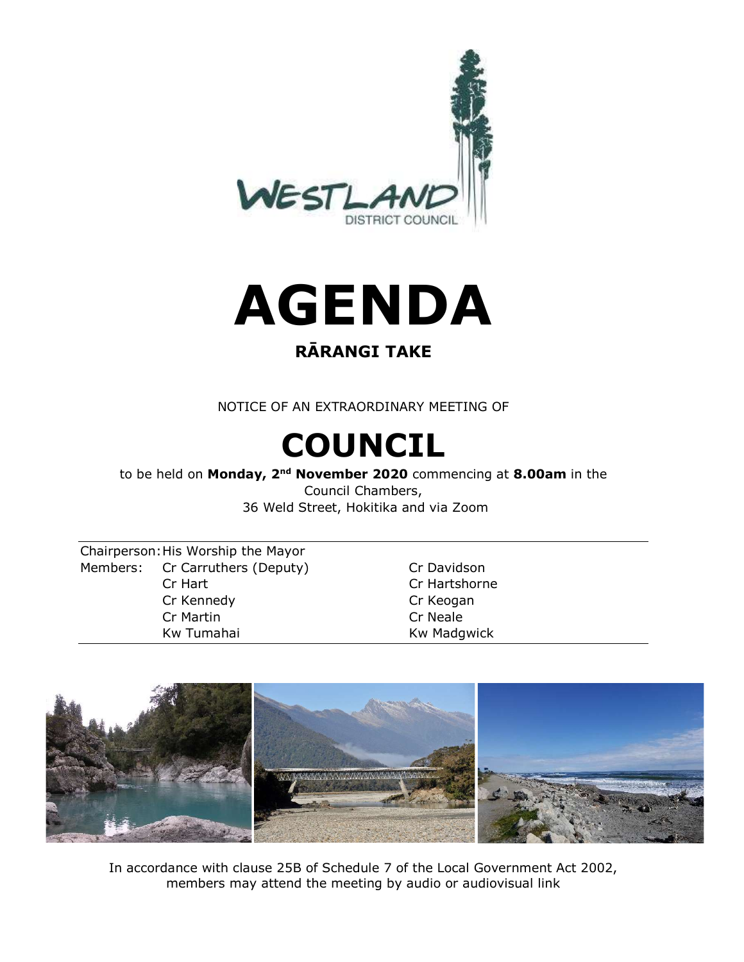

# AGENDA

#### RĀRANGI TAKE

NOTICE OF AN EXTRAORDINARY MEETING OF

# COUNCIL

to be held on Monday, 2<sup>nd</sup> November 2020 commencing at 8.00am in the Council Chambers, 36 Weld Street, Hokitika and via Zoom

| Chairperson: His Worship the Mayor |                                 |
|------------------------------------|---------------------------------|
|                                    | Members: Cr Carruthers (Deputy) |
|                                    | Cr Hart                         |
|                                    | Cr Kennedy                      |
|                                    | Cr Martin                       |
|                                    | Kw Tumahai                      |

Cr Davidson Cr Hartshorne Cr Keogan Cr Neale Kw Madgwick



In accordance with clause 25B of Schedule 7 of the Local Government Act 2002, members may attend the meeting by audio or audiovisual link